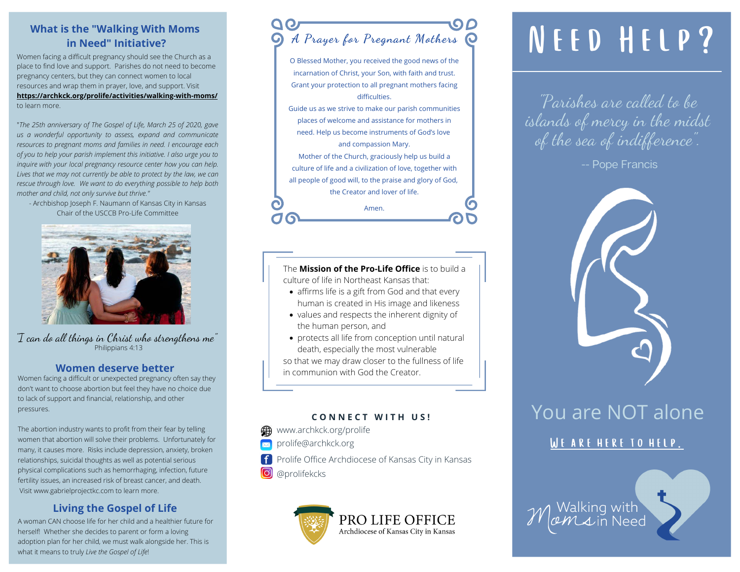# **What is the "Walking With Moms in Need" Initiative?**

Women facing a difficult pregnancy should see the Church as a place to find love and support. Parishes do not need to become pregnancy centers, but they can connect women to local resources and wrap them in prayer, love, and support. Visit **https://archkck.org/prolife/activities/walking-with-moms/** to learn more.

"*The 25th anniversary of The Gospel of Life, March 25 of 2020, gave us a wonderful opportunity to assess, expand and communicate resources to pregnant moms and families in need. I encourage each of you to help your parish implement this initiative. I also urge you to inquire with your local pregnancy resource center how you can help. Lives that we may not currently be able to protect by the law, we can rescue through love. We want to do everything possible to help both mother and child, not only survive but thrive."*

*-* Archbishop Joseph F. Naumann of Kansas City in Kansas Chair of the USCCB Pro-Life Committee



 $"I$  can do all things in Christ who strengthens me" Philippians 4:13

# **Women deserve better**

Women facing a difficult or unexpected pregnancy often say they don't want to choose abortion but feel they have no choice due to lack of support and financial, relationship, and other pressures.

The abortion industry wants to profit from their fear by telling women that abortion will solve their problems. Unfortunately for many, it causes more. Risks include depression, anxiety, broken relationships, suicidal thoughts as well as potential serious physical complications such as hemorrhaging, infection, future fertility issues, an increased risk of breast cancer, and death. Visit [www.gabrielprojectkc.com](http://www.garielprojectkc.com/) to learn more.

# **Living the Gospel of Life**

A woman CAN choose life for her child and a healthier future for herself! Whether she decides to parent or form a loving adoption plan for her child, we must walk alongside her. This is what it means to truly *Live the Gospel of Life*!



O Blessed Mother, you received the good news of the incarnation of Christ, your Son, with faith and trust. Grant your protection to all pregnant mothers facing difficulties. Guide us as we strive to make our parish communities

places of welcome and assistance for mothers in need. Help us become instruments of God's love

and compassion Mary. Mother of the Church, graciously help us build a culture of life and a civilization of love, together with all people of good will, to the praise and glory of God, the Creator and lover of life.

Amen.



The **Mission of the Pro-Life Office** is to build a culture of life in Northeast Kansas that:

- affirms life is a gift from God and that every human is created in His image and likeness
- values and respects the inherent dignity of the human person, and
- protects all life from conception until natural death, especially the most vulnerable so that we may draw closer to the fullness of life

in communion with God the Creator.

#### **C O N N E C T W I T H U S !**

- www.archkck.org/prolife
- M prolife@archkck.org
- **f** Prolife Office Archdiocese of Kansas City in Kansas

**@** @prolifekcks



# PRO LIFE OFFICE Archdiocese of Kansas City in Kansas

# Need Help?

"Parishes are called to be islands of mercy in the midst of the sea of indifference".

-- Pope Francis



# You are NOT alone

# WE ARE HERE TO HELP.